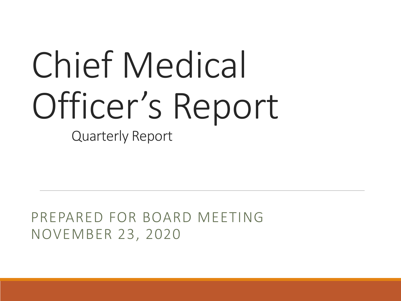# Chief Medical Officer's Report

Quarterly Report

PREPARED FOR BOARD MEETING NOVEMBER 23, 2020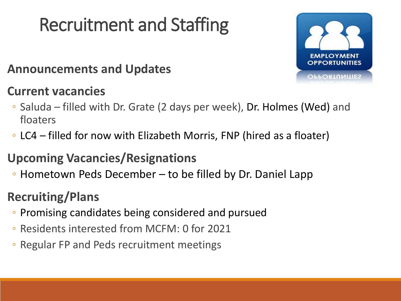## Recruitment and Staffing

### **Announcements and Updates**

### **Current vacancies**



- Saluda filled with Dr. Grate (2 days per week), Dr. Holmes (Wed) and floaters
- LC4 filled for now with Elizabeth Morris, FNP (hired as a floater)

### **Upcoming Vacancies/Resignations**

◦ Hometown Peds December – to be filled by Dr. Daniel Lapp

### **Recruiting/Plans**

- Promising candidates being considered and pursued
- Residents interested from MCFM: 0 for 2021
- Regular FP and Peds recruitment meetings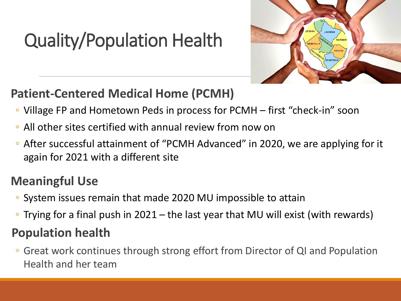## Quality/Population Health



### **Patient-Centered Medical Home (PCMH)**

- Village FP and Hometown Peds in process for PCMH first "check-in" soon
- All other sites certified with annual review from now on
- After successful attainment of "PCMH Advanced" in 2020, we are applying for it again for 2021 with a different site

### **Meaningful Use**

- System issues remain that made 2020 MU impossible to attain
- Trying for a final push in 2021 the last year that MU will exist (with rewards)

### **Population health**

◦ Great work continues through strong effort from Director of QI and Population Health and her team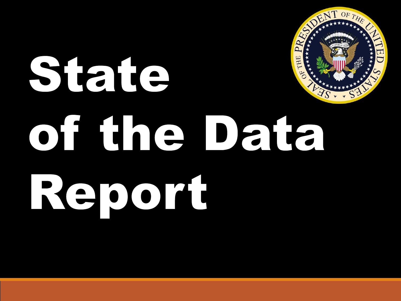## E LINE AND REAL PRESS THE State  $S$ of the Data Report

OF THE

 $\overline{\mathbf{u}}$ 

 $\overline{\bm{\mathsf{C}}}$ 

 $\mathcal{S}_{\mathcal{Y}}$ 

**REAL PROPERTY** 

 $\sum_{i=1}^{n}$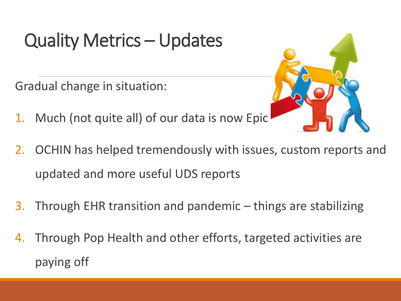## Quality Metrics – Updates

Gradual change in situation:

- 1. Much (not quite all) of our data is now Epic
- 2. OCHIN has helped tremendously with issues, custom reports and updated and more useful UDS reports
- 3. Through EHR transition and pandemic things are stabilizing
- 4. Through Pop Health and other efforts, targeted activities are paying off

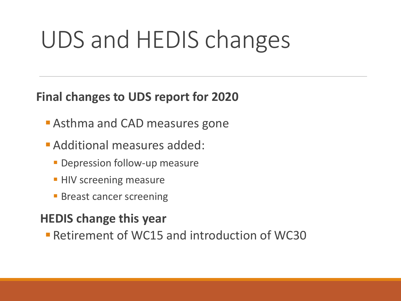## UDS and HEDIS changes

### **Final changes to UDS report for 2020**

- **Asthma and CAD measures gone**
- **Additional measures added:** 
	- **Depression follow-up measure**
	- **HIV screening measure**
	- **Breast cancer screening**

### **HEDIS change this year**

**Retirement of WC15 and introduction of WC30**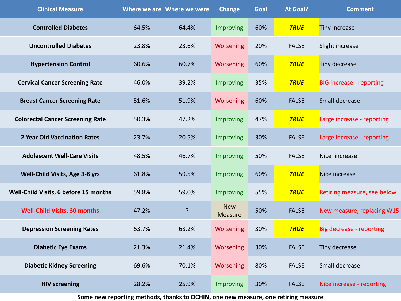| <b>Clinical Measure</b>                 |       | Where we are $ $ Where we were | <b>Change</b>                | Goal | <b>At Goal?</b> | <b>Comment</b>                  |
|-----------------------------------------|-------|--------------------------------|------------------------------|------|-----------------|---------------------------------|
| <b>Controlled Diabetes</b>              | 64.5% | 64.4%                          | Improving                    | 60%  | <b>TRUE</b>     | Tiny increase                   |
| <b>Uncontrolled Diabetes</b>            | 23.8% | 23.6%                          | Worsening                    | 20%  | <b>FALSE</b>    | Slight increase                 |
| <b>Hypertension Control</b>             | 60.6% | 60.7%                          | Worsening                    | 60%  | <b>TRUE</b>     | Tiny decrease                   |
| <b>Cervical Cancer Screening Rate</b>   | 46.0% | 39.2%                          | Improving                    | 35%  | <b>TRUE</b>     | <b>BIG increase - reporting</b> |
| <b>Breast Cancer Screening Rate</b>     | 51.6% | 51.9%                          | Worsening                    | 60%  | <b>FALSE</b>    | Small decrease                  |
| <b>Colorectal Cancer Screening Rate</b> | 50.3% | 47.2%                          | Improving                    | 47%  | <b>TRUE</b>     | Large increase - reporting      |
| 2 Year Old Vaccination Rates            | 23.7% | 20.5%                          | Improving                    | 30%  | <b>FALSE</b>    | Large increase - reporting      |
| <b>Adolescent Well-Care Visits</b>      | 48.5% | 46.7%                          | Improving                    | 50%  | <b>FALSE</b>    | Nice increase                   |
| Well-Child Visits, Age 3-6 yrs          | 61.8% | 59.5%                          | Improving                    | 60%  | <b>TRUE</b>     | Nice increase                   |
| Well-Child Visits, 6 before 15 months   | 59.8% | 59.0%                          | Improving                    | 55%  | <b>TRUE</b>     | Retiring measure, see below     |
| <b>Well-Child Visits, 30 months</b>     | 47.2% | ?                              | <b>New</b><br><b>Measure</b> | 50%  | <b>FALSE</b>    | New measure, replacing W15      |
| <b>Depression Screening Rates</b>       | 63.7% | 68.2%                          | Worsening                    | 30%  | <b>TRUE</b>     | Big decrease - reporting        |
| <b>Diabetic Eye Exams</b>               | 21.3% | 21.4%                          | Worsening                    | 30%  | <b>FALSE</b>    | Tiny decrease                   |
| <b>Diabetic Kidney Screening</b>        | 69.6% | 70.1%                          | Worsening                    | 80%  | <b>FALSE</b>    | Small decrease                  |
| <b>HIV screening</b>                    | 28.2% | 25.9%                          | Improving                    | 30%  | <b>FALSE</b>    | Nice increase - reporting       |

**Some new reporting methods, thanks to OCHIN, one new measure, one retiring measure**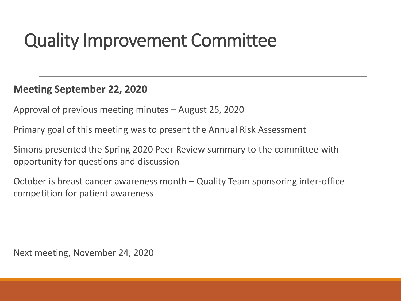### Quality Improvement Committee

#### **Meeting September 22, 2020**

Approval of previous meeting minutes – August 25, 2020

Primary goal of this meeting was to present the Annual Risk Assessment

Simons presented the Spring 2020 Peer Review summary to the committee with opportunity for questions and discussion

October is breast cancer awareness month – Quality Team sponsoring inter-office competition for patient awareness

Next meeting, November 24, 2020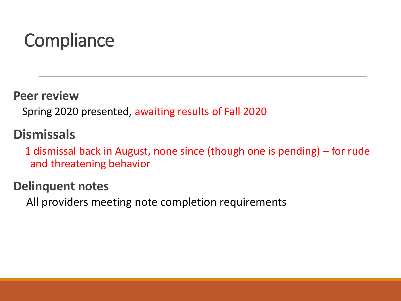## **Compliance**

**Peer review**

Spring 2020 presented, awaiting results of Fall 2020

### **Dismissals**

1 dismissal back in August, none since (though one is pending) – for rude and threatening behavior

### **Delinquent notes**

All providers meeting note completion requirements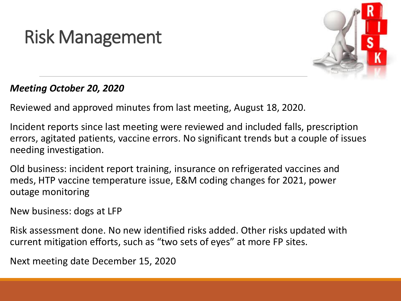## Risk Management



#### *Meeting October 20, 2020*

Reviewed and approved minutes from last meeting, August 18, 2020.

Incident reports since last meeting were reviewed and included falls, prescription errors, agitated patients, vaccine errors. No significant trends but a couple of issues needing investigation.

Old business: incident report training, insurance on refrigerated vaccines and meds, HTP vaccine temperature issue, E&M coding changes for 2021, power outage monitoring

New business: dogs at LFP

Risk assessment done. No new identified risks added. Other risks updated with current mitigation efforts, such as "two sets of eyes" at more FP sites.

Next meeting date December 15, 2020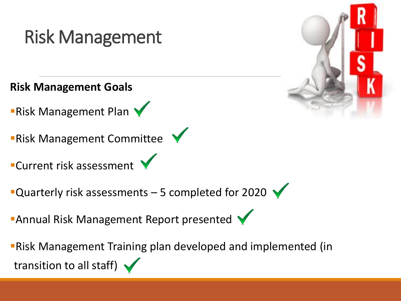## Risk Management

**Risk Management Goals**

**Risk Management Plan V** 

**Risk Management Committee** 

**Current risk assessment** 

Quarterly risk assessments  $-5$  completed for 2020

**Annual Risk Management Report presented** 

Risk Management Training plan developed and implemented (in transition to all staff)  $\blacktriangleright$